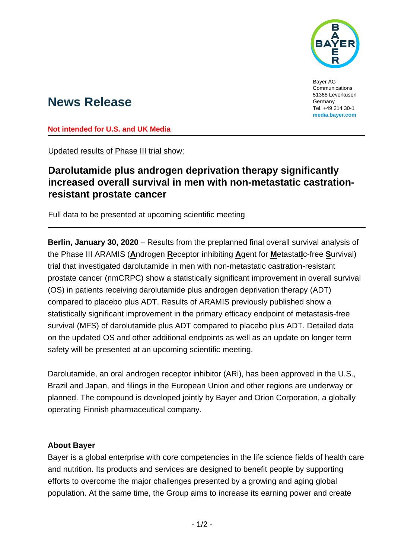

Bayer AG Communications 51368 Leverkusen Germany Tel. +49 214 30-1 **media.bayer.com**

# **News Release**

**Not intended for U.S. and UK Media**

Updated results of Phase III trial show:

## **Darolutamide plus androgen deprivation therapy significantly increased overall survival in men with non-metastatic castrationresistant prostate cancer**

Full data to be presented at upcoming scientific meeting

**Berlin, January 30, 2020** – Results from the preplanned final overall survival analysis of the Phase III ARAMIS (**A**ndrogen **R**eceptor inhibiting **A**gent for **M**etastat**I**c-free **S**urvival) trial that investigated darolutamide in men with non-metastatic castration-resistant prostate cancer (nmCRPC) show a statistically significant improvement in overall survival (OS) in patients receiving darolutamide plus androgen deprivation therapy (ADT) compared to placebo plus ADT. Results of ARAMIS previously published show a statistically significant improvement in the primary efficacy endpoint of metastasis-free survival (MFS) of darolutamide plus ADT compared to placebo plus ADT. Detailed data on the updated OS and other additional endpoints as well as an update on longer term safety will be presented at an upcoming scientific meeting.

Darolutamide, an oral androgen receptor inhibitor (ARi), has been approved in the U.S., Brazil and Japan, and filings in the European Union and other regions are underway or planned. The compound is developed jointly by Bayer and Orion Corporation, a globally operating Finnish pharmaceutical company.

### **About Bayer**

Bayer is a global enterprise with core competencies in the life science fields of health care and nutrition. Its products and services are designed to benefit people by supporting efforts to overcome the major challenges presented by a growing and aging global population. At the same time, the Group aims to increase its earning power and create